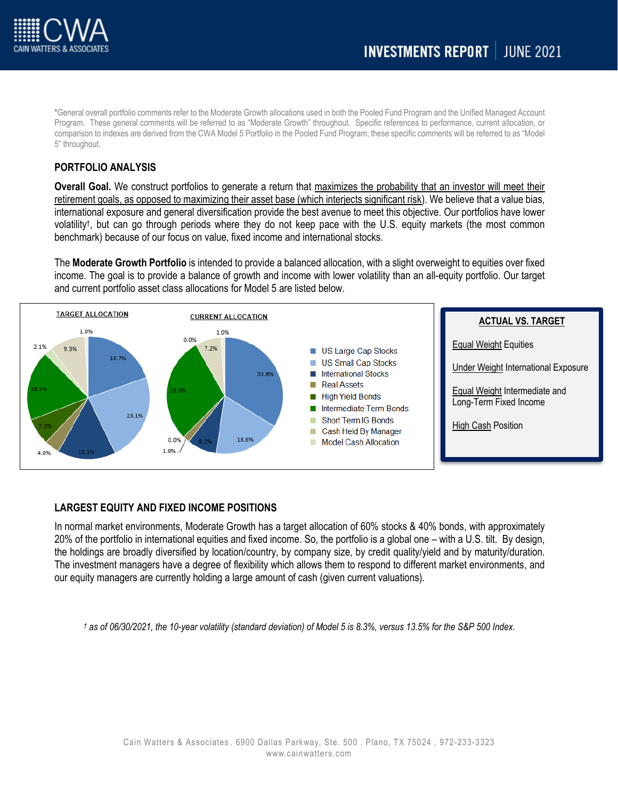

\*General overall portfolio comments refer to the Moderate Growth allocations used in both the Pooled Fund Program and the Unified Managed Account Program. These general comments will be referred to as "Moderate Growth" throughout. Specific references to performance, current allocation, or comparison to indexes are derived from the CWA Model 5 Portfolio in the Pooled Fund Program; these specific comments will be referred to as "Model 5" throughout.

# **PORTFOLIO ANALYSIS**

**Overall Goal.** We construct portfolios to generate a return that maximizes the probability that an investor will meet their retirement goals, as opposed to maximizing their asset base (which interjects significant risk). We believe that a value bias, international exposure and general diversification provide the best avenue to meet this objective. Our portfolios have lower volatility† , but can go through periods where they do not keep pace with the U.S. equity markets (the most common benchmark) because of our focus on value, fixed income and international stocks.

The **Moderate Growth Portfolio** is intended to provide a balanced allocation, with a slight overweight to equities over fixed income. The goal is to provide a balance of growth and income with lower volatility than an all-equity portfolio. Our target and current portfolio asset class allocations for Model 5 are listed below.



### **LARGEST EQUITY AND FIXED INCOME POSITIONS**

In normal market environments, Moderate Growth has a target allocation of 60% stocks & 40% bonds, with approximately 20% of the portfolio in international equities and fixed income. So, the portfolio is a global one – with a U.S. tilt. By design, the holdings are broadly diversified by location/country, by company size, by credit quality/yield and by maturity/duration. The investment managers have a degree of flexibility which allows them to respond to different market environments, and our equity managers are currently holding a large amount of cash (given current valuations).

*† as of 06/30/2021, the 10-year volatility (standard deviation) of Model 5 is 8.3%, versus 13.5% for the S&P 500 Index.*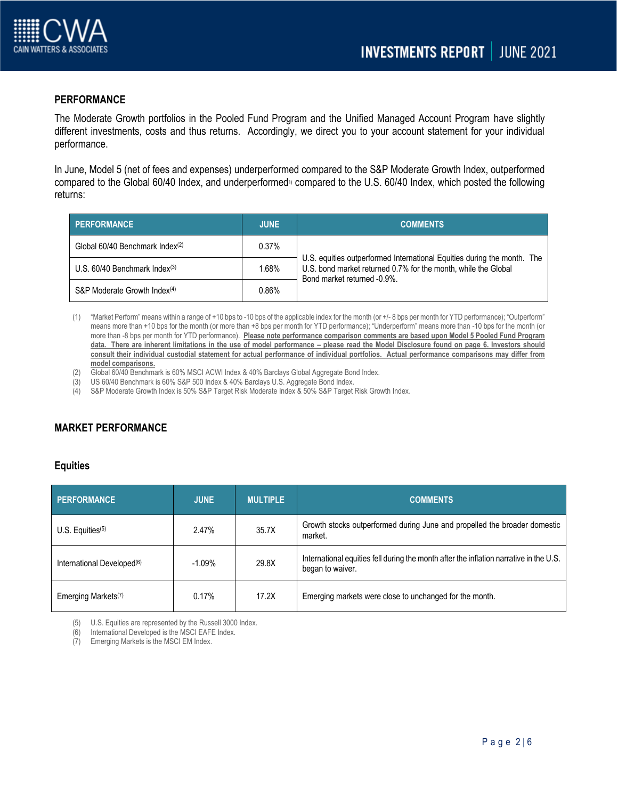

# **PERFORMANCE**

The Moderate Growth portfolios in the Pooled Fund Program and the Unified Managed Account Program have slightly different investments, costs and thus returns. Accordingly, we direct you to your account statement for your individual performance.

In June, Model 5 (net of fees and expenses) underperformed compared to the S&P Moderate Growth Index, outperformed compared to the Global 60/40 Index, and underperformed<sup>1)</sup> compared to the U.S. 60/40 Index, which posted the following returns:

| PERFORMANCE                              | JUNE <sup></sup> | <b>COMMENTS</b>                                                                                                                                                          |  |
|------------------------------------------|------------------|--------------------------------------------------------------------------------------------------------------------------------------------------------------------------|--|
| Global 60/40 Benchmark Index(2)          | 0.37%            |                                                                                                                                                                          |  |
| U.S. $60/40$ Benchmark Index $(3)$       | 1.68%            | U.S. equities outperformed International Equities during the month. The<br>U.S. bond market returned 0.7% for the month, while the Global<br>Bond market returned -0.9%. |  |
| S&P Moderate Growth Index <sup>(4)</sup> | $0.86\%$         |                                                                                                                                                                          |  |

- (1) "Market Perform" means within a range of +10 bps to -10 bps of the applicable index for the month (or +/- 8 bps per month for YTD performance); "Outperform" means more than +10 bps for the month (or more than +8 bps per month for YTD performance); "Underperform" means more than -10 bps for the month (or more than -8 bps per month for YTD performance). **Please note performance comparison comments are based upon Model 5 Pooled Fund Program**  data. There are inherent limitations in the use of model performance – please read the Model Disclosure found on page 6. Investors should **consult their individual custodial statement for actual performance of individual portfolios. Actual performance comparisons may differ from model comparisons.**
- (2) Global 60/40 Benchmark is 60% MSCI ACWI Index & 40% Barclays Global Aggregate Bond Index.
- (3) US 60/40 Benchmark is 60% S&P 500 Index & 40% Barclays U.S. Aggregate Bond Index.
- (4) S&P Moderate Growth Index is 50% S&P Target Risk Moderate Index & 50% S&P Target Risk Growth Index.

# **MARKET PERFORMANCE**

#### **Equities**

| <b>PERFORMANCE</b>                     | <b>JUNE</b> | <b>MULTIPLE</b> | <b>COMMENTS</b>                                                                                            |
|----------------------------------------|-------------|-----------------|------------------------------------------------------------------------------------------------------------|
| U.S. Equities $(5)$                    | 2.47%       | 35.7X           | Growth stocks outperformed during June and propelled the broader domestic<br>market.                       |
| International Developed <sup>(6)</sup> | $-1.09%$    | 29.8X           | International equities fell during the month after the inflation narrative in the U.S.<br>began to waiver. |
| Emerging Markets <sup>(7)</sup>        | $0.17\%$    | 17.2X           | Emerging markets were close to unchanged for the month.                                                    |

(5) U.S. Equities are represented by the Russell 3000 Index.

(6) International Developed is the MSCI EAFE Index.

(7) Emerging Markets is the MSCI EM Index.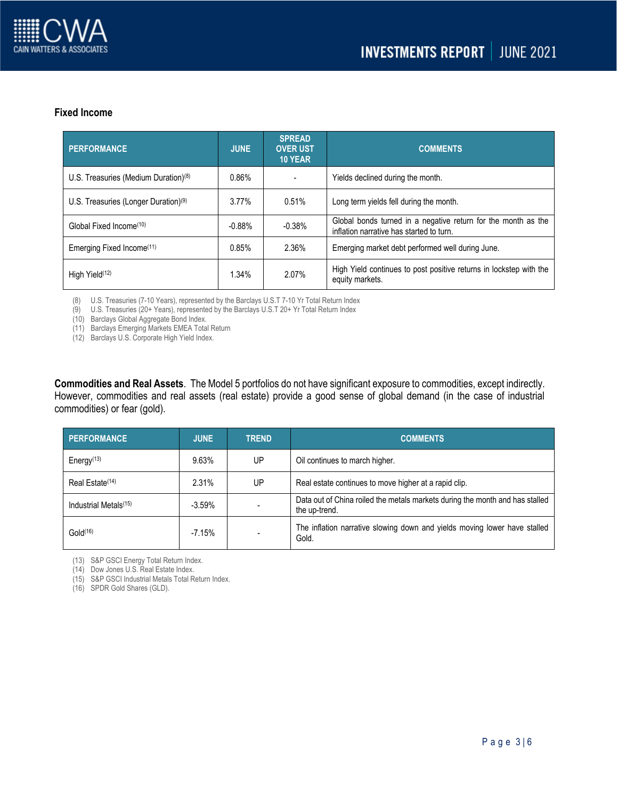

### **Fixed Income**

| <b>PERFORMANCE</b>                               | <b>JUNE</b> | <b>SPREAD</b><br><b>OVER UST</b><br>10 YEAR | <b>COMMENTS</b>                                                                                           |
|--------------------------------------------------|-------------|---------------------------------------------|-----------------------------------------------------------------------------------------------------------|
| U.S. Treasuries (Medium Duration) $(8)$          | 0.86%       |                                             | Yields declined during the month.                                                                         |
| U.S. Treasuries (Longer Duration) <sup>(9)</sup> | $3.77\%$    | 0.51%                                       | Long term yields fell during the month.                                                                   |
| Global Fixed Income <sup>(10)</sup>              | $-0.88%$    | $-0.38%$                                    | Global bonds turned in a negative return for the month as the<br>inflation narrative has started to turn. |
| Emerging Fixed Income <sup>(11)</sup>            | 0.85%       | 2.36%                                       | Emerging market debt performed well during June.                                                          |
| High Yield <sup>(12)</sup>                       | 1.34%       | 2.07%                                       | High Yield continues to post positive returns in lockstep with the<br>equity markets.                     |

(8) U.S. Treasuries (7-10 Years), represented by the Barclays U.S.T 7-10 Yr Total Return Index

(9) U.S. Treasuries (20+ Years), represented by the Barclays U.S.T 20+ Yr Total Return Index

(10) Barclays Global Aggregate Bond Index.

(11) Barclays Emerging Markets EMEA Total Return

(12) Barclays U.S. Corporate High Yield Index.

**Commodities and Real Assets**. The Model 5 portfolios do not have significant exposure to commodities, except indirectly. However, commodities and real assets (real estate) provide a good sense of global demand (in the case of industrial commodities) or fear (gold).

| <b>PERFORMANCE</b>                | <b>JUNE</b> | <b>TREND</b> | <b>COMMENTS</b>                                                                               |
|-----------------------------------|-------------|--------------|-----------------------------------------------------------------------------------------------|
| Energy $(13)$                     | 9.63%       | UP           | Oil continues to march higher.                                                                |
| Real Estate <sup>(14)</sup>       | 2.31%       | UP           | Real estate continues to move higher at a rapid clip.                                         |
| Industrial Metals <sup>(15)</sup> | $-3.59%$    |              | Data out of China roiled the metals markets during the month and has stalled<br>the up-trend. |
| Gold <sup>(16)</sup>              | $-7.15%$    |              | The inflation narrative slowing down and yields moving lower have stalled<br>Gold.            |

(13) S&P GSCI Energy Total Return Index.

(14) Dow Jones U.S. Real Estate Index.

(15) S&P GSCI Industrial Metals Total Return Index.

(16) SPDR Gold Shares (GLD).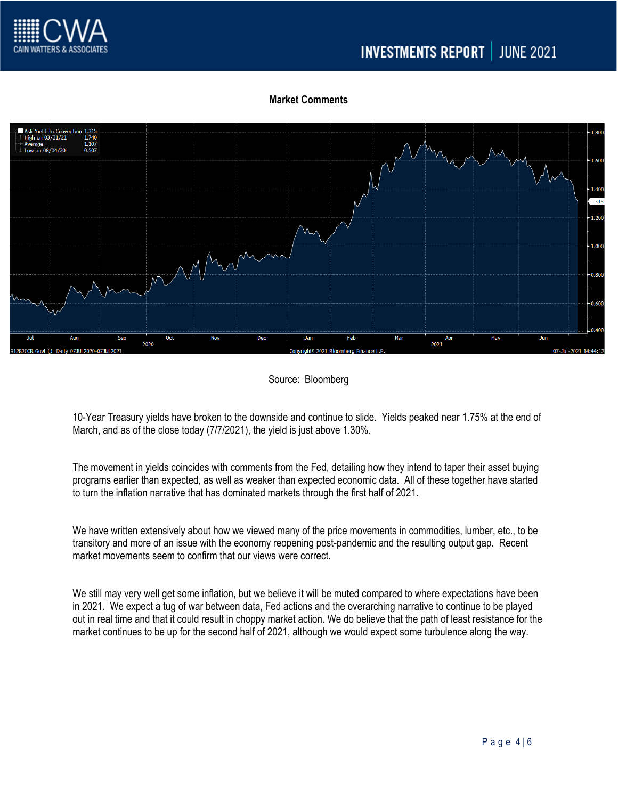

# **Market Comments**



### Source: Bloomberg

10-Year Treasury yields have broken to the downside and continue to slide. Yields peaked near 1.75% at the end of March, and as of the close today (7/7/2021), the yield is just above 1.30%.

The movement in yields coincides with comments from the Fed, detailing how they intend to taper their asset buying programs earlier than expected, as well as weaker than expected economic data. All of these together have started to turn the inflation narrative that has dominated markets through the first half of 2021.

We have written extensively about how we viewed many of the price movements in commodities, lumber, etc., to be transitory and more of an issue with the economy reopening post-pandemic and the resulting output gap. Recent market movements seem to confirm that our views were correct.

We still may very well get some inflation, but we believe it will be muted compared to where expectations have been in 2021. We expect a tug of war between data, Fed actions and the overarching narrative to continue to be played out in real time and that it could result in choppy market action. We do believe that the path of least resistance for the market continues to be up for the second half of 2021, although we would expect some turbulence along the way.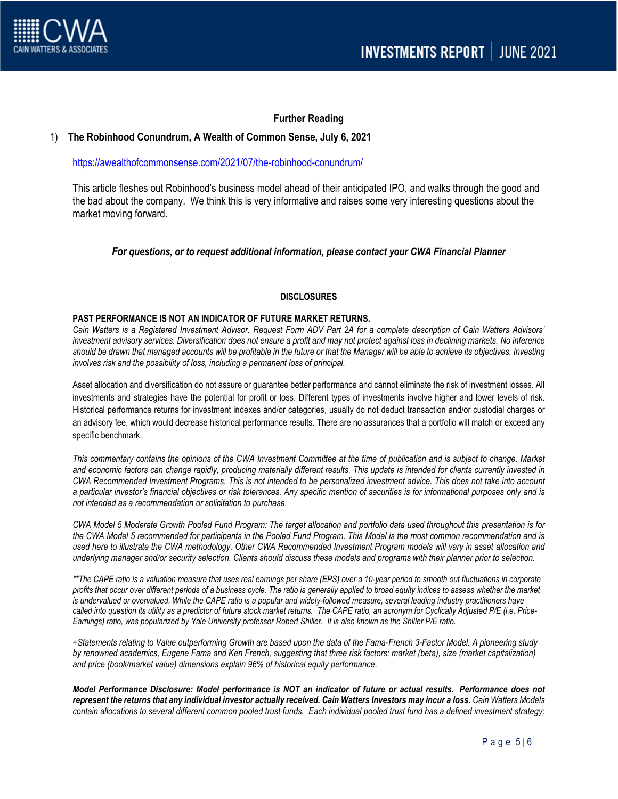

### **Further Reading**

#### 1) **The Robinhood Conundrum, A Wealth of Common Sense, July 6, 2021**

<https://awealthofcommonsense.com/2021/07/the-robinhood-conundrum/>

This article fleshes out Robinhood's business model ahead of their anticipated IPO, and walks through the good and the bad about the company. We think this is very informative and raises some very interesting questions about the market moving forward.

#### *For questions, or to request additional information, please contact your CWA Financial Planner*

#### **DISCLOSURES**

#### **PAST PERFORMANCE IS NOT AN INDICATOR OF FUTURE MARKET RETURNS.**

*Cain Watters is a Registered Investment Advisor. Request Form ADV Part 2A for a complete description of Cain Watters Advisors' investment advisory services. Diversification does not ensure a profit and may not protect against loss in declining markets. No inference should be drawn that managed accounts will be profitable in the future or that the Manager will be able to achieve its objectives. Investing involves risk and the possibility of loss, including a permanent loss of principal.*

Asset allocation and diversification do not assure or guarantee better performance and cannot eliminate the risk of investment losses. All investments and strategies have the potential for profit or loss. Different types of investments involve higher and lower levels of risk. Historical performance returns for investment indexes and/or categories, usually do not deduct transaction and/or custodial charges or an advisory fee, which would decrease historical performance results. There are no assurances that a portfolio will match or exceed any specific benchmark.

*This commentary contains the opinions of the CWA Investment Committee at the time of publication and is subject to change. Market and economic factors can change rapidly, producing materially different results. This update is intended for clients currently invested in CWA Recommended Investment Programs. This is not intended to be personalized investment advice. This does not take into account a particular investor's financial objectives or risk tolerances. Any specific mention of securities is for informational purposes only and is not intended as a recommendation or solicitation to purchase.*

*CWA Model 5 Moderate Growth Pooled Fund Program: The target allocation and portfolio data used throughout this presentation is for the CWA Model 5 recommended for participants in the Pooled Fund Program. This Model is the most common recommendation and is used here to illustrate the CWA methodology. Other CWA Recommended Investment Program models will vary in asset allocation and underlying manager and/or security selection. Clients should discuss these models and programs with their planner prior to selection.*

*\*\*The CAPE ratio is a valuation measure that uses real earnings per share (EPS) over a 10-year period to smooth out fluctuations in corporate profits that occur over different periods of a business cycle. The ratio is generally applied to broad equity indices to assess whether the market*  is undervalued or overvalued. While the CAPE ratio is a popular and widely-followed measure, several leading industry practitioners have *called into question its utility as a predictor of future stock market returns. The CAPE ratio, an acronym for Cyclically Adjusted P/E (i.e. Price-Earnings) ratio, was popularized by Yale University professor Robert Shiller. It is also known as the Shiller P/E ratio.*

*+Statements relating to Value outperforming Growth are based upon the data of the Fama-French 3-Factor Model. A pioneering study by renowned academics, Eugene Fama and Ken French, suggesting that three risk factors: market (beta), size (market capitalization) and price (book/market value) dimensions explain 96% of historical equity performance.*

*Model Performance Disclosure: Model performance is NOT an indicator of future or actual results. Performance does not represent the returns that any individual investor actually received. Cain Watters Investors may incur a loss. Cain Watters Models contain allocations to several different common pooled trust funds. Each individual pooled trust fund has a defined investment strategy;*